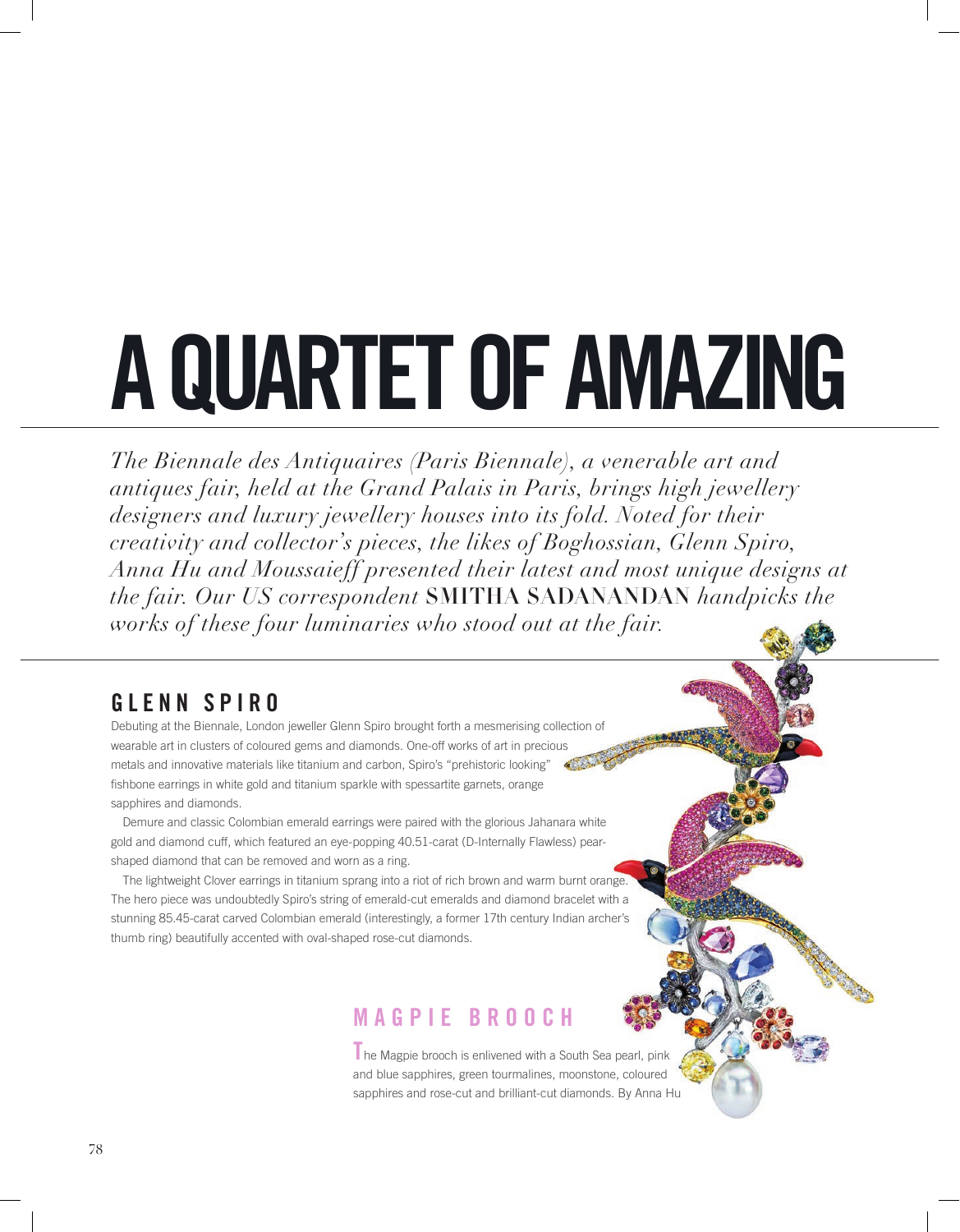# **A QUARTET OF AMAZING**

*The Biennale des Antiquaires (Paris Biennale), a venerable art and antiques fair, held at the Grand Palais in Paris, brings high jewellery designers and luxury jewellery houses into its fold. Noted for their creativity and collector's pieces, the likes of Boghossian, Glenn Spiro, Anna Hu and Moussaieff presented their latest and most unique designs at the fair. Our US correspondent* SMITHA SADANANDAN *handpicks the works of these four luminaries who stood out at the fair.*

# **GLENN SPIRO**

Debuting at the Biennale, London jeweller Glenn Spiro brought forth a mesmerising collection of wearable art in clusters of coloured gems and diamonds. One-off works of art in precious metals and innovative materials like titanium and carbon, Spiro's "prehistoric looking" fishbone earrings in white gold and titanium sparkle with spessartite garnets, orange sapphires and diamonds.

Demure and classic Colombian emerald earrings were paired with the glorious Jahanara white gold and diamond cuff, which featured an eye-popping 40.51-carat (D-Internally Flawless) pearshaped diamond that can be removed and worn as a ring.

The lightweight Clover earrings in titanium sprang into a riot of rich brown and warm burnt orange. The hero piece was undoubtedly Spiro's string of emerald-cut emeralds and diamond bracelet with a stunning 85.45-carat carved Colombian emerald (interestingly, a former 17th century Indian archer's thumb ring) beautifully accented with oval-shaped rose-cut diamonds.

# **MAGPIE BROOCH**

**T**he Magpie brooch is enlivened with a South Sea pearl, pink and blue sapphires, green tourmalines, moonstone, coloured sapphires and rose-cut and brilliant-cut diamonds. By Anna Hu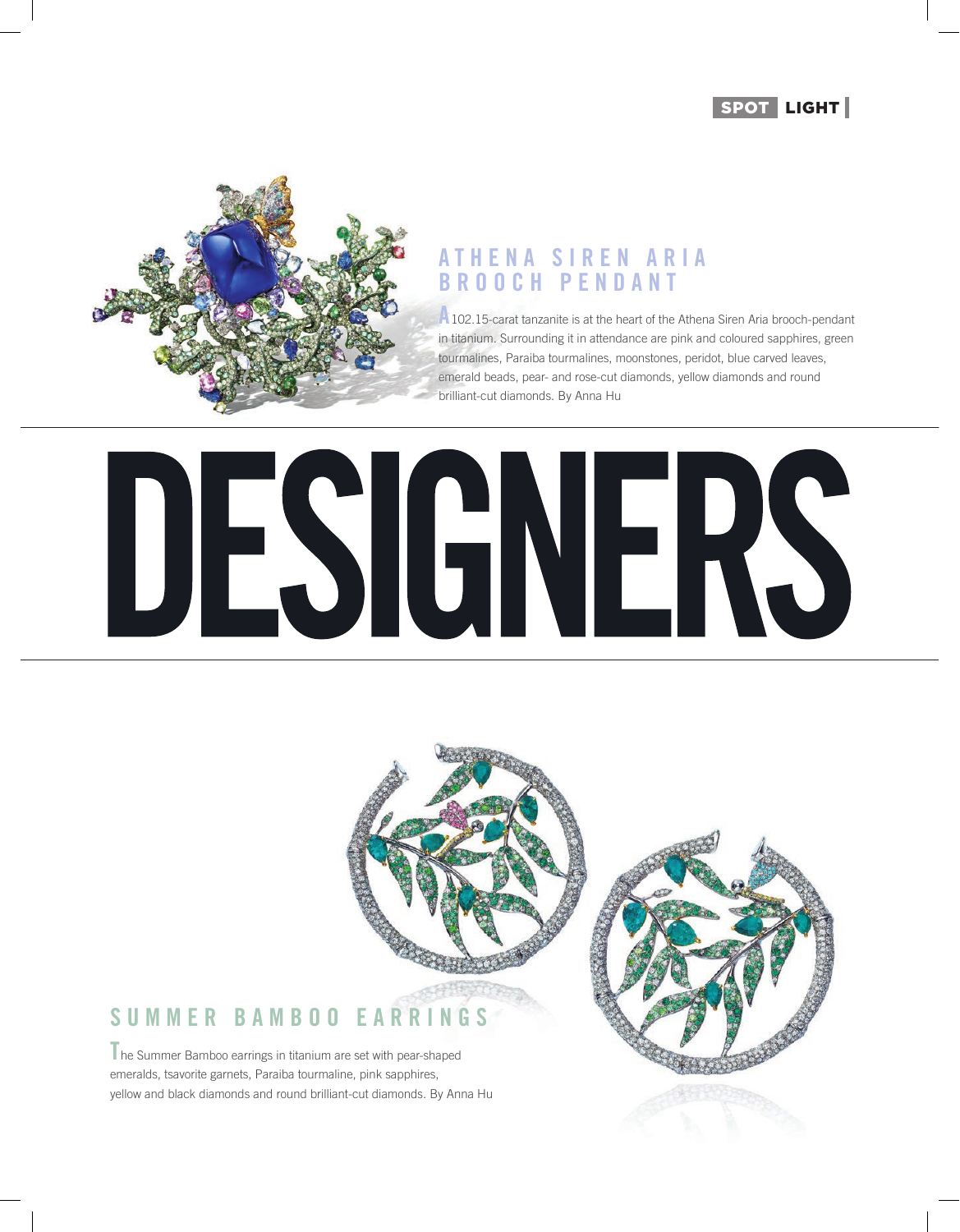



#### **A T H E N A S I R E N A R I A BROOCH PENDANT**

**A**102.15-carat tanzanite is at the heart of the Athena Siren Aria brooch-pendant in titanium. Surrounding it in attendance are pink and coloured sapphires, green tourmalines, Paraiba tourmalines, moonstones, peridot, blue carved leaves, emerald beads, pear- and rose-cut diamonds, yellow diamonds and round brilliant-cut diamonds. By Anna Hu



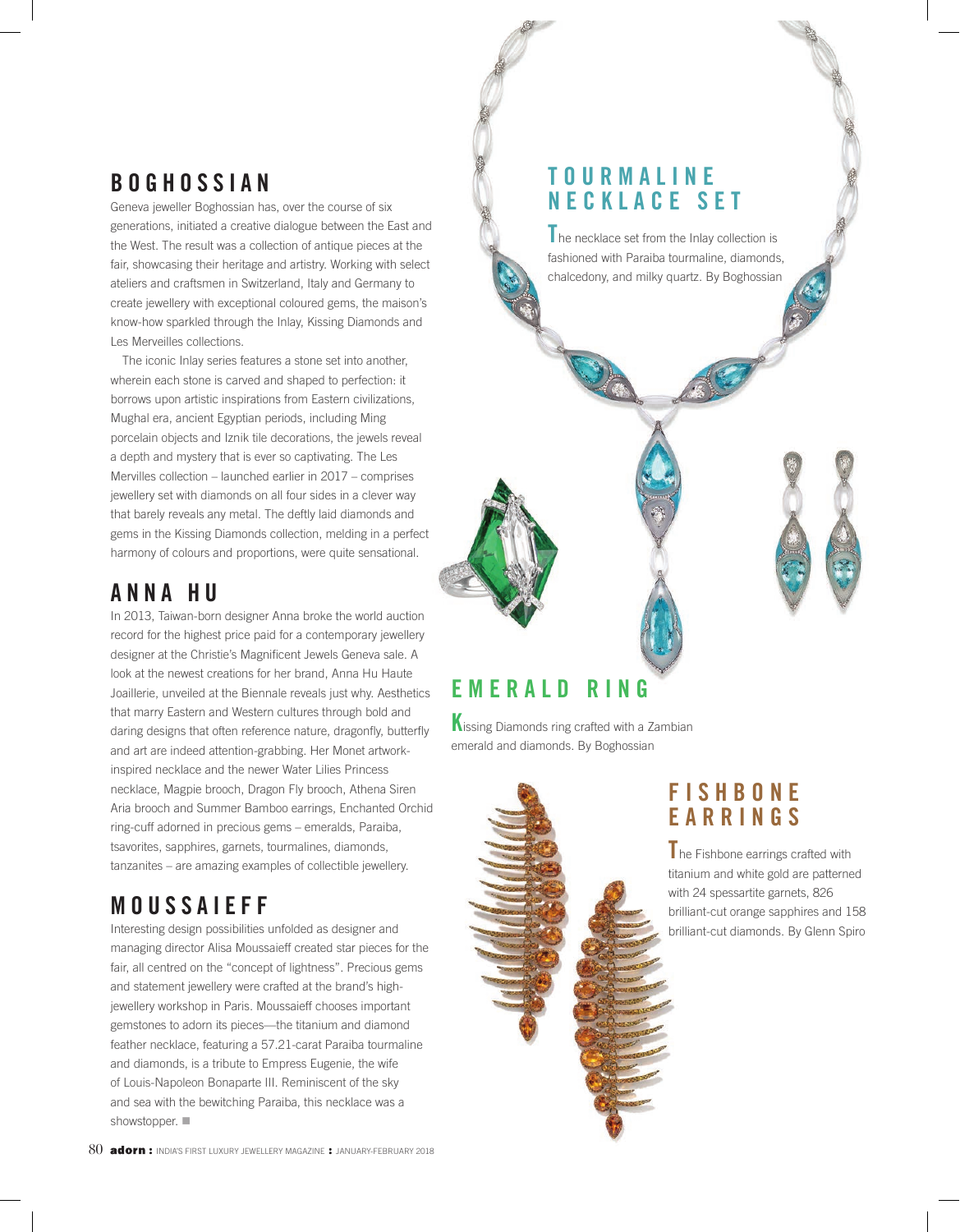# **BOGHOSSIAN**

Geneva jeweller Boghossian has, over the course of six generations, initiated a creative dialogue between the East and the West. The result was a collection of antique pieces at the fair, showcasing their heritage and artistry. Working with select ateliers and craftsmen in Switzerland, Italy and Germany to create jewellery with exceptional coloured gems, the maison's know-how sparkled through the Inlay, Kissing Diamonds and Les Merveilles collections.

The iconic Inlay series features a stone set into another, wherein each stone is carved and shaped to perfection: it borrows upon artistic inspirations from Eastern civilizations, Mughal era, ancient Egyptian periods, including Ming porcelain objects and Iznik tile decorations, the jewels reveal a depth and mystery that is ever so captivating. The Les Mervilles collection – launched earlier in 2017 – comprises jewellery set with diamonds on all four sides in a clever way that barely reveals any metal. The deftly laid diamonds and gems in the Kissing Diamonds collection, melding in a perfect harmony of colours and proportions, were quite sensational.

# **ANNA HU**

In 2013, Taiwan-born designer Anna broke the world auction record for the highest price paid for a contemporary jewellery designer at the Christie's Magnificent Jewels Geneva sale. A look at the newest creations for her brand, Anna Hu Haute Joaillerie, unveiled at the Biennale reveals just why. Aesthetics that marry Eastern and Western cultures through bold and daring designs that often reference nature, dragonfly, butterfly and art are indeed attention-grabbing. Her Monet artworkinspired necklace and the newer Water Lilies Princess necklace, Magpie brooch, Dragon Fly brooch, Athena Siren Aria brooch and Summer Bamboo earrings, Enchanted Orchid ring-cuff adorned in precious gems – emeralds, Paraiba, tsavorites, sapphires, garnets, tourmalines, diamonds, tanzanites – are amazing examples of collectible jewellery.

# **M O U S S A I E F F**

Interesting design possibilities unfolded as designer and managing director Alisa Moussaieff created star pieces for the fair, all centred on the "concept of lightness". Precious gems and statement jewellery were crafted at the brand's highjewellery workshop in Paris. Moussaieff chooses important gemstones to adorn its pieces—the titanium and diamond feather necklace, featuring a 57.21-carat Paraiba tourmaline and diamonds, is a tribute to Empress Eugenie, the wife of Louis-Napoleon Bonaparte III. Reminiscent of the sky and sea with the bewitching Paraiba, this necklace was a showstopper.  $\blacksquare$ 

#### 80 **adorn:** India's FIRST LUXURY JEWELLERY MAGAZINE : JANUARY-FEBRUARY 2018

#### **T O U R M A L I N E NECKLACE SET**

**T**he necklace set from the Inlay collection is fashioned with Paraiba tourmaline, diamonds, chalcedony, and milky quartz. By Boghossian

# **E M E R A L D R I N G**

**K**issing Diamonds ring crafted with a Zambian emerald and diamonds. By Boghossian

# **F I S H B O N E EARRINGS**

**T**he Fishbone earrings crafted with titanium and white gold are patterned with 24 spessartite garnets, 826 brilliant-cut orange sapphires and 158 brilliant-cut diamonds. By Glenn Spiro